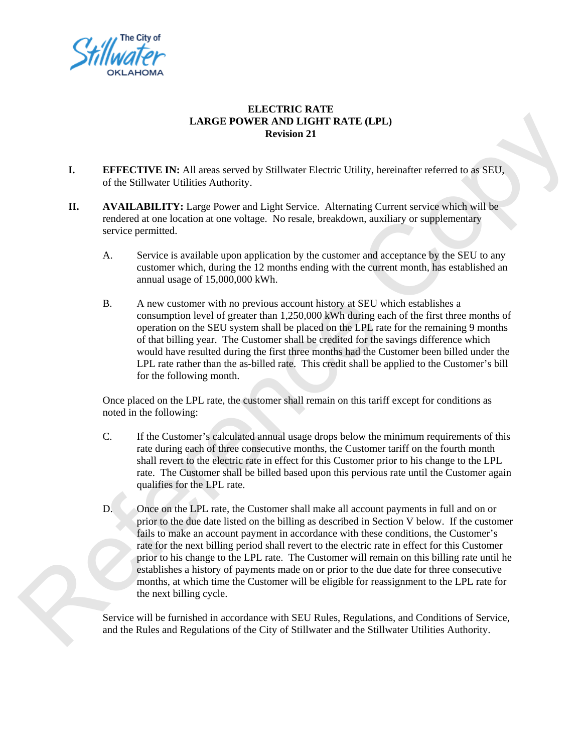

### **ELECTRIC RATE LARGE POWER AND LIGHT RATE (LPL) Revision 21**

- **I. EFFECTIVE IN:** All areas served by Stillwater Electric Utility, hereinafter referred to as SEU, of the Stillwater Utilities Authority.
- **II.** AVAILABILITY: Large Power and Light Service. Alternating Current service which will be rendered at one location at one voltage. No resale, breakdown, auxiliary or supplementary service permitted.
- A. Service is available upon application by the customer and acceptance by the SEU to any customer which, during the 12 months ending with the current month, has established an annual usage of 15,000,000 kWh. E (LPL)<br>lity, hereinafter referred to as SEU,<br>ting Current service which will be<br>n, auxiliary or supplementary<br>r and acceptance by the SEU to any<br>he current month, has established an<br>SEU which establishes a
	- B. A new customer with no previous account history at SEU which establishes a consumption level of greater than 1,250,000 kWh during each of the first three months of operation on the SEU system shall be placed on the LPL rate for the remaining 9 months of that billing year. The Customer shall be credited for the savings difference which would have resulted during the first three months had the Customer been billed under the LPL rate rather than the as-billed rate. This credit shall be applied to the Customer's bill for the following month.

Once placed on the LPL rate, the customer shall remain on this tariff except for conditions as noted in the following:

- C. If the Customer's calculated annual usage drops below the minimum requirements of this rate during each of three consecutive months, the Customer tariff on the fourth month shall revert to the electric rate in effect for this Customer prior to his change to the LPL rate. The Customer shall be billed based upon this pervious rate until the Customer again qualifies for the LPL rate.
- D. Once on the LPL rate, the Customer shall make all account payments in full and on or prior to the due date listed on the billing as described in Section V below. If the customer fails to make an account payment in accordance with these conditions, the Customer's rate for the next billing period shall revert to the electric rate in effect for this Customer prior to his change to the LPL rate. The Customer will remain on this billing rate until he establishes a history of payments made on or prior to the due date for three consecutive months, at which time the Customer will be eligible for reassignment to the LPL rate for the next billing cycle. B. A new customer with no previous account history at SEU which<br>consumption level of greater than  $1,250,000$  kWh during each<br>operation on the SEU system shall be placed on the LPL rate for<br>operation on the SEU system sha

Service will be furnished in accordance with SEU Rules, Regulations, and Conditions of Service, and the Rules and Regulations of the City of Stillwater and the Stillwater Utilities Authority.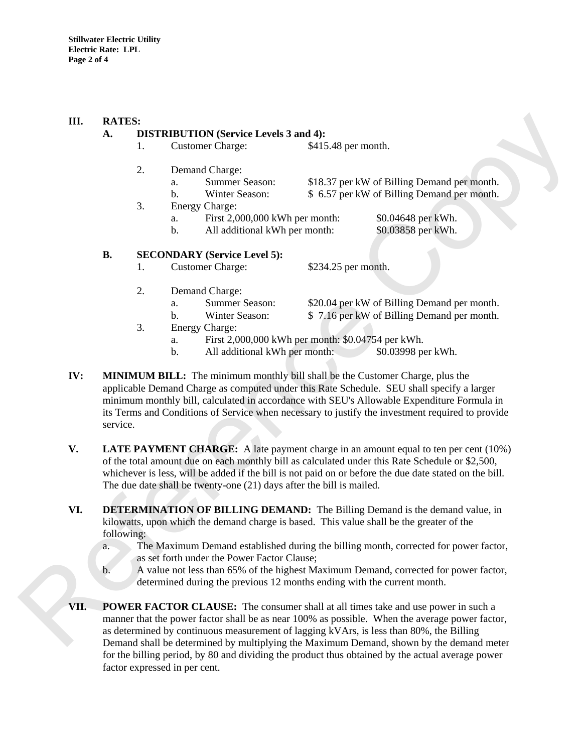#### **III. RATES:**

### **A. DISTRIBUTION (Service Levels 3 and 4):**

- 1. Customer Charge: \$415.48 per month.
	- 2. Demand Charge:
		- - a. Summer Season: \$18.37 per kW of Billing Demand per month.
			- b. Winter Season: \$ 6.57 per kW of Billing Demand per month.
	- 3. Energy Charge:
		- a. First 2,000,000 kWh per month: \$0.04648 per kWh.
		- b. All additional kWh per month: \$0.03858 per kWh.
- month.<br>
EV AV of Billing Demand per month.<br>
EV AV Of Billing Demand per month.<br>
S0.04648 per kWh.<br>
S0.03858 per kWh.<br>
Copyright Community Meridian Server Month.<br>
Copyright Community Meridian Server Month.<br>
Copyright Commun

### **B. SECONDARY (Service Level 5):**

- 1. Customer Charge: \$234.25 per month.
- 2. Demand Charge:
	-
	- a. Summer Season: \$20.04 per kW of Billing Demand per month. b. Winter Season: \$ 7.16 per kW of Billing Demand per month.
- 3. Energy Charge:
	- a. First 2,000,000 kWh per month: \$0.04754 per kWh.
	- b. All additional kWh per month: \$0.03998 per kWh.
- **IV: MINIMUM BILL:** The minimum monthly bill shall be the Customer Charge, plus the applicable Demand Charge as computed under this Rate Schedule. SEU shall specify a larger minimum monthly bill, calculated in accordance with SEU's Allowable Expenditure Formula in its Terms and Conditions of Service when necessary to justify the investment required to provide service. a. Summer Season:  $$20.04$  per kW of Billi<br>
1. Winter Season:  $$5.16$  per kW of Billi<br>
3. Energy Charge:  $$5.16$  per kW of Billi<br>
3. Energy Charge:  $$5.16$  per kW of Billi<br>
1. All additional kWh per month:  $$50.04754$  per
	- **V.** LATE PAYMENT CHARGE: A late payment charge in an amount equal to ten per cent (10%) of the total amount due on each monthly bill as calculated under this Rate Schedule or \$2,500, whichever is less, will be added if the bill is not paid on or before the due date stated on the bill. The due date shall be twenty-one (21) days after the bill is mailed.
	- **VI. DETERMINATION OF BILLING DEMAND:** The Billing Demand is the demand value, in kilowatts, upon which the demand charge is based. This value shall be the greater of the following:
		- a. The Maximum Demand established during the billing month, corrected for power factor, as set forth under the Power Factor Clause;
		- b. A value not less than 65% of the highest Maximum Demand, corrected for power factor, determined during the previous 12 months ending with the current month.
	- **VII. POWER FACTOR CLAUSE:** The consumer shall at all times take and use power in such a manner that the power factor shall be as near 100% as possible. When the average power factor, as determined by continuous measurement of lagging kVArs, is less than 80%, the Billing Demand shall be determined by multiplying the Maximum Demand, shown by the demand meter for the billing period, by 80 and dividing the product thus obtained by the actual average power factor expressed in per cent.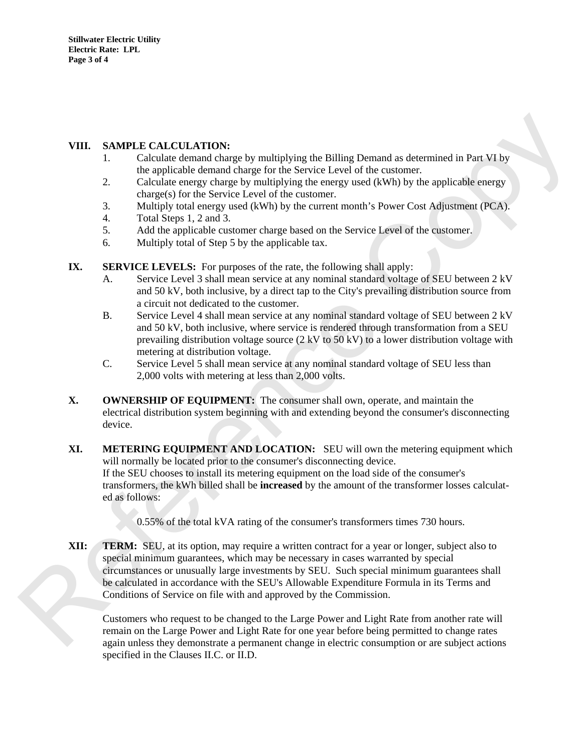## **VIII. SAMPLE CALCULATION:**

- 1. Calculate demand charge by multiplying the Billing Demand as determined in Part VI by the applicable demand charge for the Service Level of the customer.
- 2. Calculate energy charge by multiplying the energy used (kWh) by the applicable energy charge(s) for the Service Level of the customer.
- 3. Multiply total energy used (kWh) by the current month's Power Cost Adjustment (PCA).
- 4. Total Steps 1, 2 and 3.
- 5. Add the applicable customer charge based on the Service Level of the customer.
- 6. Multiply total of Step 5 by the applicable tax.
- **IX. SERVICE LEVELS:** For purposes of the rate, the following shall apply:
- A. Service Level 3 shall mean service at any nominal standard voltage of SEU between 2 kV and 50 kV, both inclusive, by a direct tap to the City's prevailing distribution source from a circuit not dedicated to the customer. Demand as determined in Part VI by<br>of the customer.<br>sed (kWh) by the applicable energy<br>nth's Power Cost Adjustment (PCA).<br>vice Level of the customer.<br>g shall apply:<br>andard voltage of SEU between 2 kV<br>'s prevailing distribu
	- B. Service Level 4 shall mean service at any nominal standard voltage of SEU between 2 kV and 50 kV, both inclusive, where service is rendered through transformation from a SEU prevailing distribution voltage source (2 kV to 50 kV) to a lower distribution voltage with metering at distribution voltage.
	- C. Service Level 5 shall mean service at any nominal standard voltage of SEU less than 2,000 volts with metering at less than 2,000 volts.
- **X. OWNERSHIP OF EQUIPMENT:** The consumer shall own, operate, and maintain the electrical distribution system beginning with and extending beyond the consumer's disconnecting device.
- **XI. METERING EQUIPMENT AND LOCATION:** SEU will own the metering equipment which will normally be located prior to the consumer's disconnecting device. If the SEU chooses to install its metering equipment on the load side of the consumer's transformers, the kWh billed shall be **increased** by the amount of the transformer losses calculated as follows:

0.55% of the total kVA rating of the consumer's transformers times 730 hours.

**XII: TERM:** SEU, at its option, may require a written contract for a year or longer, subject also to special minimum guarantees, which may be necessary in cases warranted by special circumstances or unusually large investments by SEU. Such special minimum guarantees shall be calculated in accordance with the SEU's Allowable Expenditure Formula in its Terms and Conditions of Service on file with and approved by the Commission. a circuit not dedicated to the customer.<br>
B. Service Level 4 shall mean service at any nominal standard volt<br>
and 50 kV, both inclusive, where service is rendered through tra<br>
prevailing distribution voltage.<br>
metering at

Customers who request to be changed to the Large Power and Light Rate from another rate will remain on the Large Power and Light Rate for one year before being permitted to change rates again unless they demonstrate a permanent change in electric consumption or are subject actions specified in the Clauses II.C. or II.D.